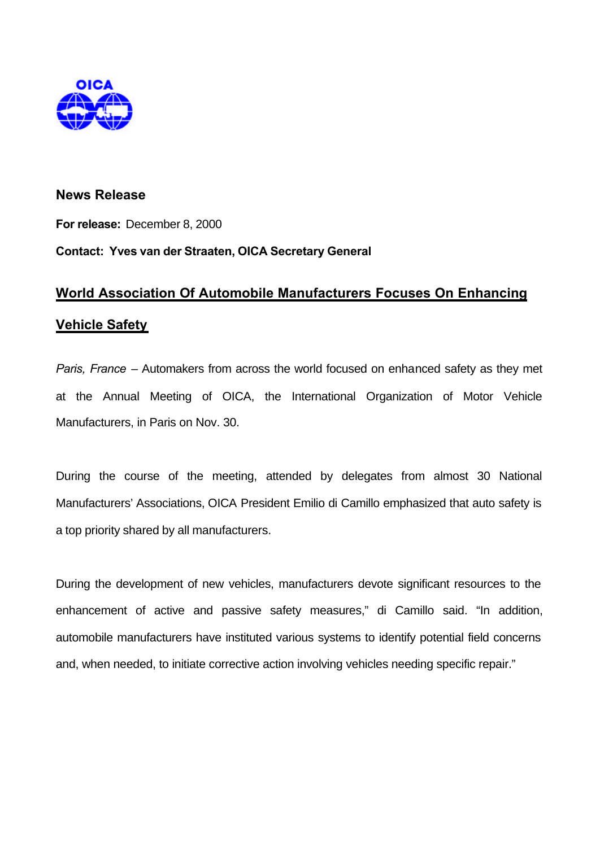

## **News Release**

**For release:** December 8, 2000

## **Contact: Yves van der Straaten, OICA Secretary General**

## **World Association Of Automobile Manufacturers Focuses On Enhancing Vehicle Safety**

*Paris, France* – Automakers from across the world focused on enhanced safety as they met at the Annual Meeting of OICA, the International Organization of Motor Vehicle Manufacturers, in Paris on Nov. 30.

During the course of the meeting, attended by delegates from almost 30 National Manufacturers' Associations, OICA President Emilio di Camillo emphasized that auto safety is a top priority shared by all manufacturers.

During the development of new vehicles, manufacturers devote significant resources to the enhancement of active and passive safety measures," di Camillo said. "In addition, automobile manufacturers have instituted various systems to identify potential field concerns and, when needed, to initiate corrective action involving vehicles needing specific repair."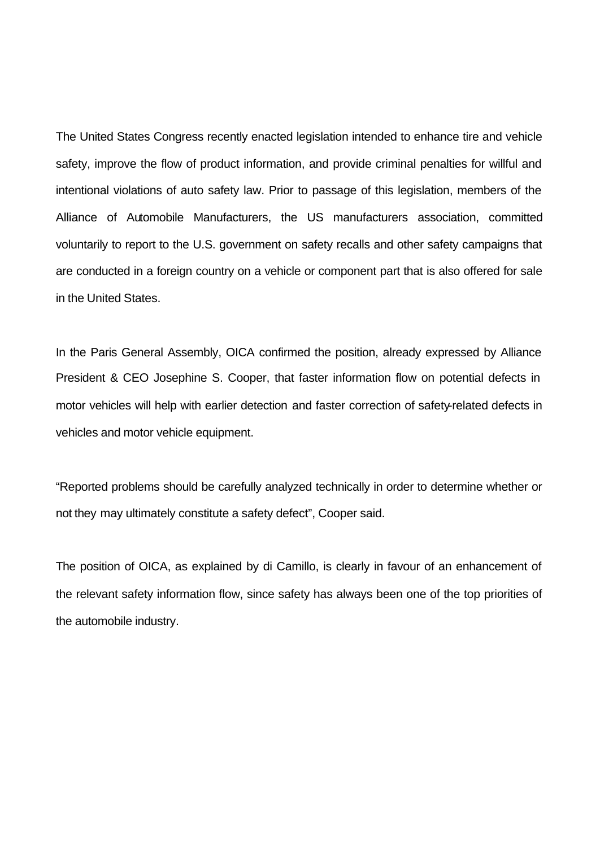The United States Congress recently enacted legislation intended to enhance tire and vehicle safety, improve the flow of product information, and provide criminal penalties for willful and intentional violations of auto safety law. Prior to passage of this legislation, members of the Alliance of Automobile Manufacturers, the US manufacturers association, committed voluntarily to report to the U.S. government on safety recalls and other safety campaigns that are conducted in a foreign country on a vehicle or component part that is also offered for sale in the United States.

In the Paris General Assembly, OICA confirmed the position, already expressed by Alliance President & CEO Josephine S. Cooper, that faster information flow on potential defects in motor vehicles will help with earlier detection and faster correction of safety-related defects in vehicles and motor vehicle equipment.

"Reported problems should be carefully analyzed technically in order to determine whether or not they may ultimately constitute a safety defect", Cooper said.

The position of OICA, as explained by di Camillo, is clearly in favour of an enhancement of the relevant safety information flow, since safety has always been one of the top priorities of the automobile industry.